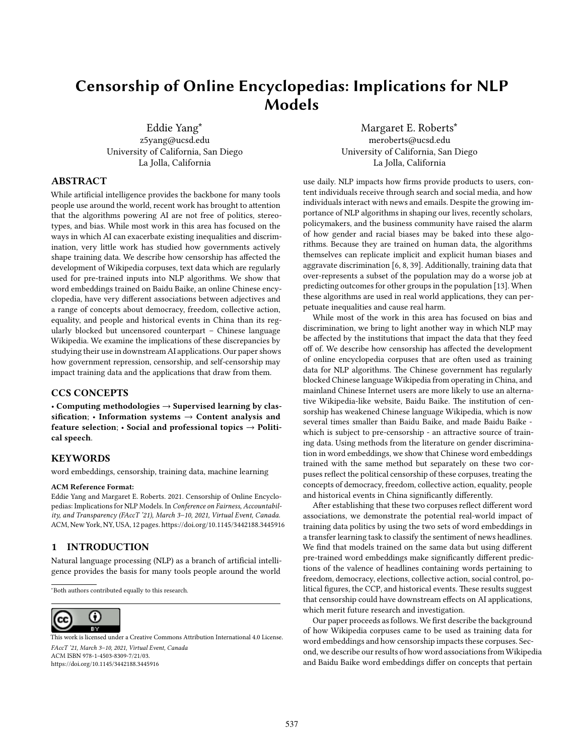# **Censorship of Online Encyclopedias: Implications for NLP Models**

Eddie Yang∗ z5yang@ucsd.edu University of California, San Diego La Jolla, California

Margaret E. Roberts<sup>\*</sup> meroberts@ucsd.edu

University of California, San Diego La Jolla, California

### **ABSTRACT**

While artificial intelligence provides the backbone for many tools people use around the world, recent work has brought to attention that the algorithms powering AI are not free of politics, stereotypes, and bias. While most work in this area has focused on the ways in which AI can exacerbate existing inequalities and discrimination, very little work has studied how governments actively shape training data. We describe how censorship has affected the development of Wikipedia corpuses, text data which are regularly used for pre-trained inputs into NLP algorithms. We show that word embeddings trained on Baidu Baike, an online Chinese encyclopedia, have very different associations between adjectives and a range of concepts about democracy, freedom, collective action, equality, and people and historical events in China than its regularly blocked but uncensored counterpart – Chinese language Wikipedia. We examine the implications of these discrepancies by studying their use in downstream AI applications. Our paper shows how government repression, censorship, and self-censorship may impact training data and the applications that draw from them.

## **CCS CONCEPTS**

• **Computing methodologies** → **Supervised learning by classification**; • **Information systems** → **Content analysis and feature selection**; • **Social and professional topics** → **Political speech**.

#### **KEYWORDS**

word embeddings, censorship, training data, machine learning

#### **ACM Reference Format:**

Eddie Yang and Margaret E. Roberts. 2021. Censorship of Online Encyclopedias: Implications for NLP Models. In *Conference on Fairness, Accountability, and Transparency (FAccT '21), March 3–10, 2021, Virtual Event, Canada.* ACM, New York, NY, USA, [12](#page-11-0) pages.<https://doi.org/10.1145/3442188.3445916>

#### **1 INTRODUCTION**

Natural language processing (NLP) as a branch of artificial intelligence provides the basis for many tools people around the world

<sup>∗</sup>Both authors contributed equally to this research.



*FAccT '21, March 3–10, 2021, Virtual Event, Canada* ACM ISBN 978-1-4503-8309-7/21/03. <https://doi.org/10.1145/3442188.3445916> [This work is licensed under a Creative Commons Attribution International 4.0 License.](https://creativecommons.org/licenses/by/4.0/) use daily. NLP impacts how firms provide products to users, content individuals receive through search and social media, and how individuals interact with news and emails. Despite the growing importance of NLP algorithms in shaping our lives, recently scholars, policymakers, and the business community have raised the alarm of how gender and racial biases may be baked into these algorithms. Because they are trained on human data, the algorithms themselves can replicate implicit and explicit human biases and aggravate discrimination [\[6](#page-7-0), [8](#page-7-1), [39\]](#page-8-0). Additionally, training data that over-represents a subset of the population may do a worse job at predicting outcomes for other groups in the population[[13](#page-7-2)]. When these algorithms are used in real world applications, they can perpetuate inequalities and cause real harm.

While most of the work in this area has focused on bias and discrimination, we bring to light another way in which NLP may be affected by the institutions that impact the data that they feed off of. We describe how censorship has affected the development of online encyclopedia corpuses that are often used as training data for NLP algorithms. The Chinese government has regularly blocked Chinese language Wikipedia from operating in China, and mainland Chinese Internet users are more likely to use an alternative Wikipedia-like website, Baidu Baike. The institution of censorship has weakened Chinese language Wikipedia, which is now several times smaller than Baidu Baike, and made Baidu Baike which is subject to pre-censorship - an attractive source of training data. Using methods from the literature on gender discrimination in word embeddings, we show that Chinese word embeddings trained with the same method but separately on these two corpuses reflect the political censorship of these corpuses, treating the concepts of democracy, freedom, collective action, equality, people and historical events in China significantly differently.

After establishing that these two corpuses reflect different word associations, we demonstrate the potential real-world impact of training data politics by using the two sets of word embeddings in a transfer learning task to classify the sentiment of news headlines. We find that models trained on the same data but using different pre-trained word embeddings make significantly different predictions of the valence of headlines containing words pertaining to freedom, democracy, elections, collective action, social control, political figures, the CCP, and historical events. These results suggest that censorship could have downstream effects on AI applications, which merit future research and investigation.

Our paper proceeds as follows. We first describe the background of how Wikipedia corpuses came to be used as training data for word embeddings and how censorship impacts these corpuses. Second, we describe our results of how word associations from Wikipedia and Baidu Baike word embeddings differ on concepts that pertain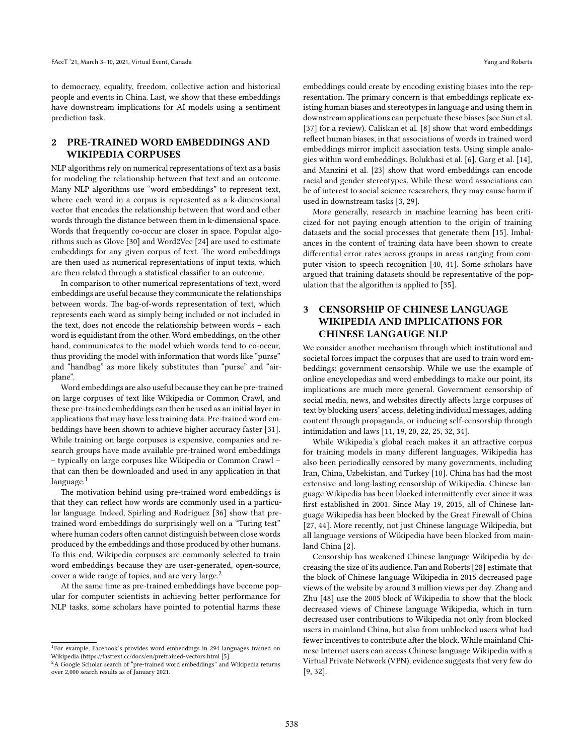to democracy, equality, freedom, collective action and historical people and events in China. Last, we show that these embeddings have downstream implications for AI models using a sentiment prediction task.

## **2 PRE-TRAINED WORD EMBEDDINGS AND WIKIPEDIA CORPUSES**

NLP algorithms rely on numerical representations of text as a basis for modeling the relationship between that text and an outcome. Many NLP algorithms use "word embeddings" to represent text, where each word in a corpus is represented as a k-dimensional vector that encodes the relationship between that word and other words through the distance between them in k-dimensional space. Words that frequently co-occur are closer in space. Popular algorithms such as Glove [\[30\]](#page-8-1) and Word2Vec[[24\]](#page-8-2) are used to estimate embeddings for any given corpus of text. The word embeddings are then used as numerical representations of input texts, which are then related through a statistical classifier to an outcome.

In comparison to other numerical representations of text, word embeddings are useful because they communicate the relationships between words. The bag-of-words representation of text, which represents each word as simply being included or not included in the text, does not encode the relationship between words – each word is equidistant from the other. Word embeddings, on the other hand, communicates to the model which words tend to co-occur, thus providing the model with information that words like "purse" and "handbag" as more likely substitutes than "purse" and "airplane".

Word embeddings are also useful because they can be pre-trained on large corpuses of text like Wikipedia or Common Crawl, and these pre-trained embeddings can then be used as an initial layer in applications that may have less training data. Pre-trained word embeddings have been shown to achieve higher accuracy faster[[31\]](#page-8-3). While training on large corpuses is expensive, companies and research groups have made available pre-trained word embeddings – typically on large corpuses like Wikipedia or Common Crawl – that can then be downloaded and used in any application in that language.<sup>[1](#page-1-0)</sup>

The motivation behind using pre-trained word embeddings is that they can reflect how words are commonly used in a particular language. Indeed, Spirling and Rodriguez [\[36](#page-8-4)] show that pretrained word embeddings do surprisingly well on a "Turing test" where human coders often cannot distinguish between close words produced by the embeddings and those produced by other humans. To this end, Wikipedia corpuses are commonly selected to train word embeddings because they are user-generated, open-source, cover a wide range of topics, and are very large.<sup>[2](#page-1-1)</sup>

At the same time as pre-trained embeddings have become popular for computer scientists in achieving better performance for NLP tasks, some scholars have pointed to potential harms these

embeddings could create by encoding existing biases into the representation. The primary concern is that embeddings replicate existing human biases and stereotypes in language and using them in downstream applications can perpetuate these biases (see Sun et al. [\[37](#page-8-5)] for a review). Caliskan et al. [\[8](#page-7-1)] show that word embeddings reflect human biases, in that associations of words in trained word embeddings mirror implicit association tests. Using simple analogies within word embeddings, Bolukbasi et al. [\[6\]](#page-7-0), Garg et al.[[14](#page-7-4)], and Manzini et al. [\[23\]](#page-8-6) show that word embeddings can encode racial and gender stereotypes. While these word associations can be of interest to social science researchers, they may cause harm if used in downstream tasks [\[3](#page-7-5), [29\]](#page-8-7).

More generally, research in machine learning has been criticized for not paying enough attention to the origin of training datasets and the social processes that generate them[[15\]](#page-7-6). Imbalances in the content of training data have been shown to create differential error rates across groups in areas ranging from computer vision to speech recognition[[40](#page-8-8), [41\]](#page-8-9). Some scholars have argued that training datasets should be representative of the population that the algorithm is applied to [\[35](#page-8-10)].

# **3 CENSORSHIP OF CHINESE LANGUAGE WIKIPEDIA AND IMPLICATIONS FOR CHINESE LANGAUGE NLP**

We consider another mechanism through which institutional and societal forces impact the corpuses that are used to train word embeddings: government censorship. While we use the example of online encyclopedias and word embeddings to make our point, its implications are much more general. Government censorship of social media, news, and websites directly affects large corpuses of text by blocking users' access, deleting individual messages, adding content through propaganda, or inducing self-censorship through intimidation and laws [\[11,](#page-7-7) [19](#page-7-8), [20,](#page-8-11) [22](#page-8-12), [25,](#page-8-13) [32](#page-8-14), [34](#page-8-15)].

While Wikipedia's global reach makes it an attractive corpus for training models in many different languages, Wikipedia has also been periodically censored by many governments, including Iran, China, Uzbekistan, and Turkey[[10](#page-7-9)]. China has had the most extensive and long-lasting censorship of Wikipedia. Chinese language Wikipedia has been blocked intermittently ever since it was first established in 2001. Since May 19, 2015, all of Chinese language Wikipedia has been blocked by the Great Firewall of China [\[27](#page-8-16), [44](#page-8-17)]. More recently, not just Chinese language Wikipedia, but all language versions of Wikipedia have been blocked from mainland China [\[2\]](#page-7-10).

Censorship has weakened Chinese language Wikipedia by decreasing the size of its audience. Pan and Roberts[[28](#page-8-18)] estimate that the block of Chinese language Wikipedia in 2015 decreased page views of the website by around 3 million views per day. Zhang and Zhu[[48](#page-8-19)] use the 2005 block of Wikipedia to show that the block decreased views of Chinese language Wikipedia, which in turn decreased user contributions to Wikipedia not only from blocked users in mainland China, but also from unblocked users what had fewer incentives to contribute after the block. While mainland Chinese Internet users can access Chinese language Wikipedia with a Virtual Private Network (VPN), evidence suggests that very few do [\[9](#page-7-11), [32\]](#page-8-14).

<span id="page-1-0"></span><sup>&</sup>lt;sup>1</sup>For example, Facebook's provides word embeddings in 294 languages trained on Wikipedia(<https://fasttext.cc/docs/en/pretrained-vectors.html> [[5\]](#page-7-3).

<span id="page-1-1"></span><sup>&</sup>lt;sup>2</sup>A Google Scholar search of "pre-trained word embeddings" and Wikipedia returns over 2,000 search results as of January 2021.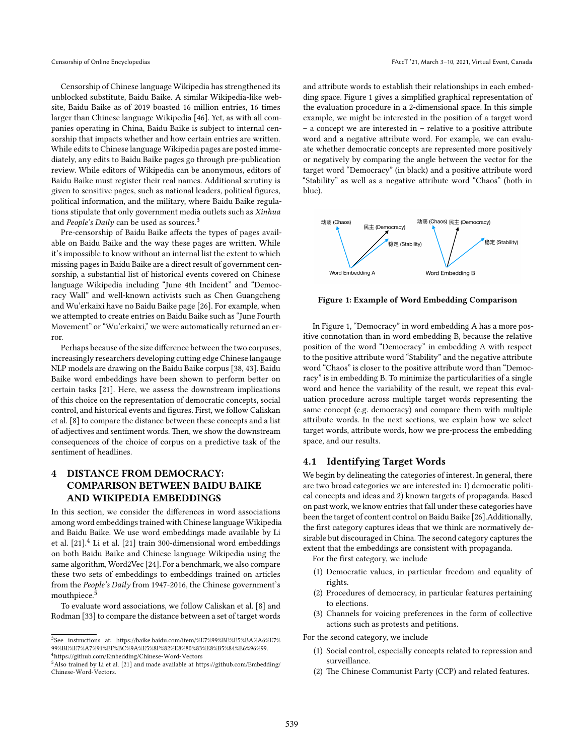Censorship of Chinese language Wikipedia has strengthened its unblocked substitute, Baidu Baike. A similar Wikipedia-like website, Baidu Baike as of 2019 boasted 16 million entries, 16 times larger than Chinese language Wikipedia [\[46\]](#page-8-20). Yet, as with all companies operating in China, Baidu Baike is subject to internal censorship that impacts whether and how certain entries are written. While edits to Chinese language Wikipedia pages are posted immediately, any edits to Baidu Baike pages go through pre-publication review. While editors of Wikipedia can be anonymous, editors of Baidu Baike must register their real names. Additional scrutiny is given to sensitive pages, such as national leaders, political figures, political information, and the military, where Baidu Baike regulations stipulate that only government media outlets such as *Xinhua* and *People's Daily* can be used as sources.[3](#page-2-0)

Pre-censorship of Baidu Baike affects the types of pages available on Baidu Baike and the way these pages are written. While it's impossible to know without an internal list the extent to which missing pages in Baidu Baike are a direct result of government censorship, a substantial list of historical events covered on Chinese language Wikipedia including "June 4th Incident" and "Democracy Wall" and well-known activists such as Chen Guangcheng and Wu'erkaixi have no Baidu Baike page[[26](#page-8-21)]. For example, when we attempted to create entries on Baidu Baike such as "June Fourth Movement" or "Wu'erkaixi," we were automatically returned an error.

Perhaps because of the size difference between the two corpuses, increasingly researchers developing cutting edge Chinese langauge NLP models are drawing on the Baidu Baike corpus [\[38,](#page-8-22) [43\]](#page-8-23). Baidu Baike word embeddings have been shown to perform better on certain tasks [\[21\]](#page-8-24). Here, we assess the downstream implications of this choice on the representation of democratic concepts, social control, and historical events and figures. First, we follow Caliskan et al. [\[8](#page-7-1)] to compare the distance between these concepts and a list of adjectives and sentiment words. Then, we show the downstream consequences of the choice of corpus on a predictive task of the sentiment of headlines.

# <span id="page-2-4"></span>**4 DISTANCE FROM DEMOCRACY: COMPARISON BETWEEN BAIDU BAIKE AND WIKIPEDIA EMBEDDINGS**

In this section, we consider the differences in word associations among word embeddings trained with Chinese language Wikipedia and Baidu Baike. We use word embeddings made available by Li etal.  $[21]$  $[21]$ <sup>[4](#page-2-1)</sup>. Li et al.  $[21]$  train 300-dimensional word embeddings on both Baidu Baike and Chinese language Wikipedia using the same algorithm, Word2Vec [\[24\]](#page-8-2). For a benchmark, we also compare these two sets of embeddings to embeddings trained on articles from the *People's Daily* from 1947-2016, the Chinese government's mouthpiece.<sup>[5](#page-2-2)</sup>

To evaluate word associations, we follow Caliskan et al. [\[8](#page-7-1)] and Rodman [\[33](#page-8-25)] to compare the distance between a set of target words and attribute words to establish their relationships in each embedding space. Figure 1 gives a simplified graphical representation of the evaluation procedure in a 2-dimensional space. In this simple example, we might be interested in the position of a target word – a concept we are interested in – relative to a positive attribute word and a negative attribute word. For example, we can evaluate whether democratic concepts are represented more positively or negatively by comparing the angle between the vector for the target word "Democracy" (in black) and a positive attribute word "Stability" as well as a negative attribute word "Chaos" (both in blue).

<span id="page-2-3"></span>

**Figure 1: Example of Word Embedding Comparison**

In Figure [1,](#page-2-3) "Democracy" in word embedding A has a more positive connotation than in word embedding B, because the relative position of the word "Democracy" in embedding A with respect to the positive attribute word "Stability" and the negative attribute word "Chaos" is closer to the positive attribute word than "Democracy" is in embedding B. To minimize the particularities of a single word and hence the variability of the result, we repeat this evaluation procedure across multiple target words representing the same concept (e.g. democracy) and compare them with multiple attribute words. In the next sections, we explain how we select target words, attribute words, how we pre-process the embedding space, and our results.

## **4.1 Identifying Target Words**

We begin by delineating the categories of interest. In general, there are two broad categories we are interested in: 1) democratic political concepts and ideas and 2) known targets of propaganda. Based on past work, we know entries that fall under these categories have been the target of content control on Baidu Baike[[26\]](#page-8-21).Additionally, the first category captures ideas that we think are normatively desirable but discouraged in China. The second category captures the extent that the embeddings are consistent with propaganda.

For the first category, we include

- (1) Democratic values, in particular freedom and equality of rights.
- (2) Procedures of democracy, in particular features pertaining to elections.
- (3) Channels for voicing preferences in the form of collective actions such as protests and petitions.

For the second category, we include

- (1) Social control, especially concepts related to repression and surveillance.
- (2) The Chinese Communist Party (CCP) and related features.

<span id="page-2-0"></span><sup>3</sup> See instructions at: [https://baike.baidu.com/item/%E7%99%BE%E5%BA%A6%E7%](https://baike.baidu.com/item/%E7%99%BE%E5%BA%A6%E7%99%BE%E7%A7%91%EF%BC%9A%E5%8F%82%E8%80%83%E8%B5%84%E6%96%99) [99%BE%E7%A7%91%EF%BC%9A%E5%8F%82%E8%80%83%E8%B5%84%E6%96%99.](https://baike.baidu.com/item/%E7%99%BE%E5%BA%A6%E7%99%BE%E7%A7%91%EF%BC%9A%E5%8F%82%E8%80%83%E8%B5%84%E6%96%99)  $^4$ <https://github.com/Embedding/Chinese-Word-Vectors>

<span id="page-2-2"></span><span id="page-2-1"></span><sup>5</sup>Also trained by Li et al. [\[21\]](#page-8-24) and made available at [https://github.com/Embedding/](https://github.com/Embedding/Chinese-Word-Vectors) [Chinese-Word-Vectors](https://github.com/Embedding/Chinese-Word-Vectors).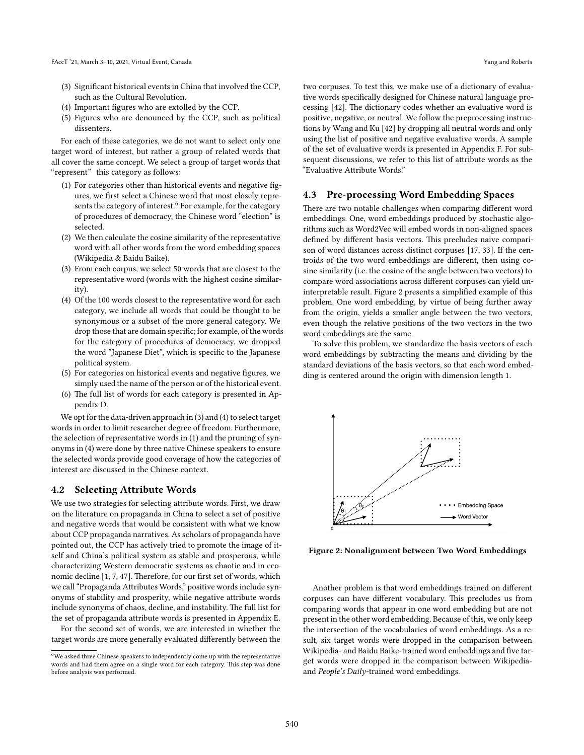- (3) Significant historical events in China that involved the CCP, such as the Cultural Revolution.
- (4) Important figures who are extolled by the CCP.
- (5) Figures who are denounced by the CCP, such as political dissenters.

For each of these categories, we do not want to select only one target word of interest, but rather a group of related words that all cover the same concept. We select a group of target words that "represent" this category as follows:

- (1) For categories other than historical events and negative figures, we first select a Chinese word that most closely repre-sents the category of interest.<sup>[6](#page-3-0)</sup> For example, for the category of procedures of democracy, the Chinese word "election" is selected.
- (2) We then calculate the cosine similarity of the representative word with all other words from the word embedding spaces (Wikipedia & Baidu Baike).
- (3) From each corpus, we select 50 words that are closest to the representative word (words with the highest cosine similarity).
- (4) Of the 100 words closest to the representative word for each category, we include all words that could be thought to be synonymous or a subset of the more general category. We drop those that are domain specific; for example, of the words for the category of procedures of democracy, we dropped the word "Japanese Diet", which is specific to the Japanese political system.
- (5) For categories on historical events and negative figures, we simply used the name of the person or of the historical event.
- (6) The full list of words for each category is presented in Appendix D.

We opt for the data-driven approach in (3) and (4) to select target words in order to limit researcher degree of freedom. Furthermore, the selection of representative words in (1) and the pruning of synonyms in (4) were done by three native Chinese speakers to ensure the selected words provide good coverage of how the categories of interest are discussed in the Chinese context.

#### **4.2 Selecting Attribute Words**

We use two strategies for selecting attribute words. First, we draw on the literature on propaganda in China to select a set of positive and negative words that would be consistent with what we know about CCP propaganda narratives. As scholars of propaganda have pointed out, the CCP has actively tried to promote the image of itself and China's political system as stable and prosperous, while characterizing Western democratic systems as chaotic and in economic decline[[1,](#page-7-12) [7,](#page-7-13) [47](#page-8-26)]. Therefore, for our first set of words, which we call "Propaganda Attributes Words," positive words include synonyms of stability and prosperity, while negative attribute words include synonyms of chaos, decline, and instability. The full list for the set of propaganda attribute words is presented in Appendix E.

For the second set of words, we are interested in whether the target words are more generally evaluated differently between the

two corpuses. To test this, we make use of a dictionary of evaluative words specifically designed for Chinese natural language processing [\[42\]](#page-8-27). The dictionary codes whether an evaluative word is positive, negative, or neutral. We follow the preprocessing instructions by Wang and Ku [\[42\]](#page-8-27) by dropping all neutral words and only using the list of positive and negative evaluative words. A sample of the set of evaluative words is presented in Appendix F. For subsequent discussions, we refer to this list of attribute words as the "Evaluative Attribute Words."

#### **4.3 Pre-processing Word Embedding Spaces**

There are two notable challenges when comparing different word embeddings. One, word embeddings produced by stochastic algorithms such as Word2Vec will embed words in non-aligned spaces defined by different basis vectors. This precludes naive comparison of word distances across distinct corpuses [\[17,](#page-7-14) [33](#page-8-25)]. If the centroids of the two word embeddings are different, then using cosine similarity (i.e. the cosine of the angle between two vectors) to compare word associations across different corpuses can yield uninterpretable result. Figure 2 presents a simplified example of this problem. One word embedding, by virtue of being further away from the origin, yields a smaller angle between the two vectors, even though the relative positions of the two vectors in the two word embeddings are the same.

To solve this problem, we standardize the basis vectors of each word embeddings by subtracting the means and dividing by the standard deviations of the basis vectors, so that each word embedding is centered around the origin with dimension length 1.



**Figure 2: Nonalignment between Two Word Embeddings**

Another problem is that word embeddings trained on different corpuses can have different vocabulary. This precludes us from comparing words that appear in one word embedding but are not present in the other word embedding. Because of this, we only keep the intersection of the vocabularies of word embeddings. As a result, six target words were dropped in the comparison between Wikipedia- and Baidu Baike-trained word embeddings and five target words were dropped in the comparison between Wikipediaand *People's Daily*-trained word embeddings.

<span id="page-3-0"></span> $6$ We asked three Chinese speakers to independently come up with the representative words and had them agree on a single word for each category. This step was done before analysis was performed.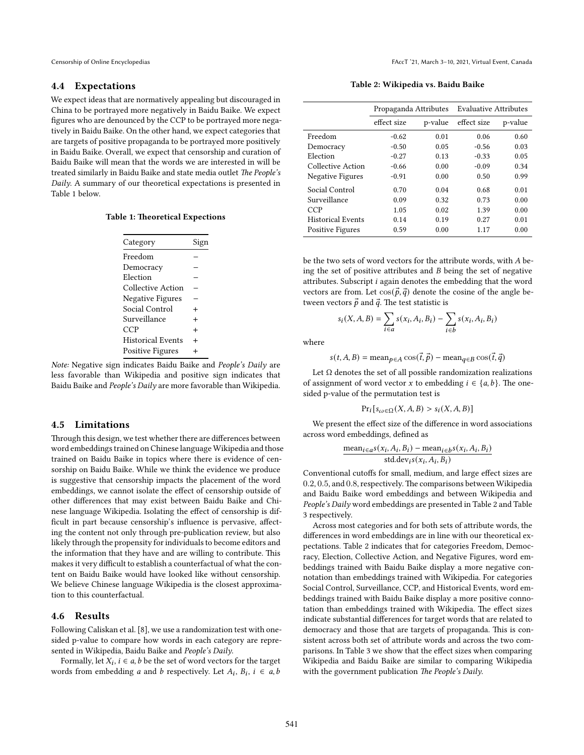### **4.4 Expectations**

We expect ideas that are normatively appealing but discouraged in China to be portrayed more negatively in Baidu Baike. We expect figures who are denounced by the CCP to be portrayed more negatively in Baidu Baike. On the other hand, we expect categories that are targets of positive propaganda to be portrayed more positively in Baidu Baike. Overall, we expect that censorship and curation of Baidu Baike will mean that the words we are interested in will be treated similarly in Baidu Baike and state media outlet *The People's Daily*. A summary of our theoretical expectations is presented in Table 1 below.

|  |  |  | <b>Table 1: Theoretical Expections</b> |
|--|--|--|----------------------------------------|
|--|--|--|----------------------------------------|

| Category                 | Sigi      |
|--------------------------|-----------|
| Freedom                  |           |
| Democracy                |           |
| Election                 |           |
| Collective Action        |           |
| <b>Negative Figures</b>  |           |
| Social Control           | $\div$    |
| Surveillance             | $\ddot{}$ |
| CCP                      | $\ddot{}$ |
| <b>Historical Events</b> | $\ddot{}$ |
| Positive Figures         | $\ddot{}$ |
|                          |           |

*Note:* Negative sign indicates Baidu Baike and *People's Daily* are less favorable than Wikipedia and positive sign indicates that Baidu Baike and *People's Daily* are more favorable than Wikipedia.

#### **4.5 Limitations**

Through this design, we test whether there are differences between word embeddings trained on Chinese language Wikipedia and those trained on Baidu Baike in topics where there is evidence of censorship on Baidu Baike. While we think the evidence we produce is suggestive that censorship impacts the placement of the word embeddings, we cannot isolate the effect of censorship outside of other differences that may exist between Baidu Baike and Chinese language Wikipedia. Isolating the effect of censorship is difficult in part because censorship's influence is pervasive, affecting the content not only through pre-publication review, but also likely through the propensity for individuals to become editors and the information that they have and are willing to contribute. This makes it very difficult to establish a counterfactual of what the content on Baidu Baike would have looked like without censorship. We believe Chinese language Wikipedia is the closest approximation to this counterfactual.

#### **4.6 Results**

Following Caliskan et al. [\[8\]](#page-7-1), we use a randomization test with onesided p-value to compare how words in each category are represented in Wikipedia, Baidu Baike and *People's Daily*.

Formally, let  $X_i$ ,  $i \in a$ ,  $b$  be the set of word vectors for the target words from embedding *a* and *b* respectively. Let  $A_i$ ,  $B_i$ ,  $i \in a$ , *b* 

**Table 2: Wikipedia vs. Baidu Baike**

|                          | Propaganda Attributes |         | <b>Evaluative Attributes</b> |         |  |
|--------------------------|-----------------------|---------|------------------------------|---------|--|
|                          | effect size           | p-value | effect size                  | p-value |  |
| Freedom                  | $-0.62$               | 0.01    | 0.06                         | 0.60    |  |
| Democracy                | $-0.50$               | 0.05    | $-0.56$                      | 0.03    |  |
| Election                 | $-0.27$               | 0.13    | $-0.33$                      | 0.05    |  |
| Collective Action        | $-0.66$               | 0.00    | $-0.09$                      | 0.34    |  |
| <b>Negative Figures</b>  | $-0.91$               | 0.00    | 0.50                         | 0.99    |  |
| Social Control           | 0.70                  | 0.04    | 0.68                         | 0.01    |  |
| Surveillance             | 0.09                  | 0.32    | 0.73                         | 0.00    |  |
| CCP                      | 1.05                  | 0.02    | 1.39                         | 0.00    |  |
| <b>Historical Events</b> | 0.14                  | 0.19    | 0.27                         | 0.01    |  |
| <b>Positive Figures</b>  | 0.59                  | 0.00    | 1.17                         | 0.00    |  |

be the two sets of word vectors for the attribute words, with  $A$  being the set of positive attributes and  $B$  being the set of negative attributes. Subscript  $i$  again denotes the embedding that the word vectors are from. Let  $\cos(\vec{p}, \vec{q})$  denote the cosine of the angle between vectors  $\vec{p}$  and  $\vec{q}$ . The test statistic is

$$
s_i(X, A, B) = \sum_{i \in a} s(x_i, A_i, B_i) - \sum_{i \in b} s(x_i, A_i, B_i)
$$

where

$$
s(t, A, B) = \text{mean}_{p \in A} \cos(\vec{t}, \vec{p}) - \text{mean}_{q \in B} \cos(\vec{t}, \vec{q})
$$

Let  $\Omega$  denotes the set of all possible randomization realizations of assignment of word vector x to embedding  $i \in \{a, b\}$ . The onesided p-value of the permutation test is

$$
Pr_i[s_{\omega \in \Omega}(X, A, B) > s_i(X, A, B)]
$$

We present the effect size of the difference in word associations across word embeddings, defined as

$$
\frac{\text{mean}_{i \in a} s(x_i, A_i, B_i) - \text{mean}_{i \in b} s(x_i, A_i, B_i)}{\text{std.dev}_i s(x_i, A_i, B_i)}
$$

Conventional cutoffs for small, medium, and large effect sizes are 0*.*2, 0*.*5, and 0*.*8, respectively.The comparisons between Wikipedia and Baidu Baike word embeddings and between Wikipedia and *People's Daily* word embeddings are presented in Table 2 and Table 3 respectively.

Across most categories and for both sets of attribute words, the differences in word embeddings are in line with our theoretical expectations. Table 2 indicates that for categories Freedom, Democracy, Election, Collective Action, and Negative Figures, word embeddings trained with Baidu Baike display a more negative connotation than embeddings trained with Wikipedia. For categories Social Control, Surveillance, CCP, and Historical Events, word embeddings trained with Baidu Baike display a more positive connotation than embeddings trained with Wikipedia. The effect sizes indicate substantial differences for target words that are related to democracy and those that are targets of propaganda. This is consistent across both set of attribute words and across the two comparisons. In Table 3 we show that the effect sizes when comparing Wikipedia and Baidu Baike are similar to comparing Wikipedia with the government publication *The People's Daily*.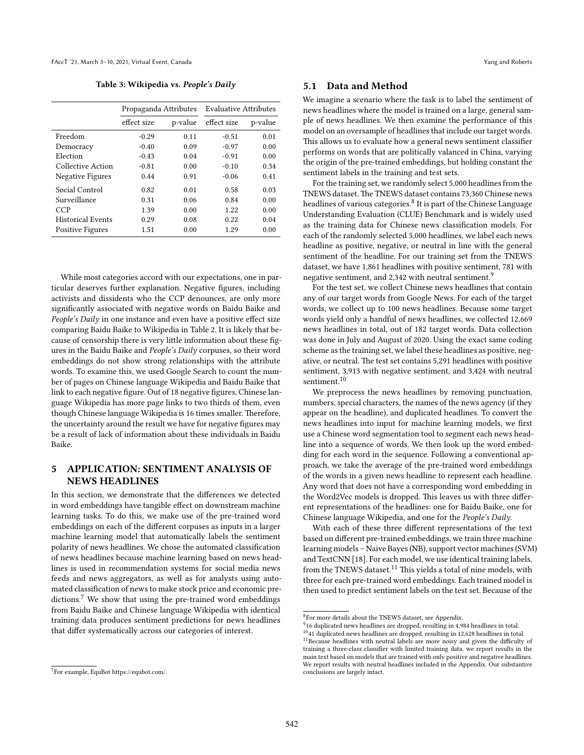**Table 3: Wikipedia vs.** *People's Daily*

|                          | Propaganda Attributes |         | <b>Evaluative Attributes</b> |         |  |
|--------------------------|-----------------------|---------|------------------------------|---------|--|
|                          | effect size           | p-value | effect size                  | p-value |  |
| Freedom                  | $-0.29$               | 0.11    | $-0.51$                      | 0.01    |  |
| Democracy                | $-0.40$               | 0.09    | $-0.97$                      | 0.00    |  |
| Election                 | $-0.43$               | 0.04    | $-0.91$                      | 0.00    |  |
| Collective Action        | $-0.81$               | 0.00    | $-0.10$                      | 0.34    |  |
| <b>Negative Figures</b>  | 0.44                  | 0.91    | $-0.06$                      | 0.41    |  |
| Social Control           | 0.82                  | 0.01    | 0.58                         | 0.03    |  |
| Surveillance             | 0.31                  | 0.06    | 0.84                         | 0.00    |  |
| CCP                      | 1.39                  | 0.00    | 1.22                         | 0.00    |  |
| <b>Historical Events</b> | 0.29                  | 0.08    | 0.22                         | 0.04    |  |
| <b>Positive Figures</b>  | 1.51                  | 0.00    | 1.29                         | 0.00    |  |

While most categories accord with our expectations, one in particular deserves further explanation. Negative figures, including activists and dissidents who the CCP denounces, are only more significantly associated with negative words on Baidu Baike and *People's Daily* in one instance and even have a positive effect size comparing Baidu Baike to Wikipedia in Table 2. It is likely that because of censorship there is very little information about these figures in the Baidu Baike and *People's Daily* corpuses, so their word embeddings do not show strong relationships with the attribute words. To examine this, we used Google Search to count the number of pages on Chinese language Wikipedia and Baidu Baike that link to each negative figure. Out of 18 negative figures, Chinese language Wikipedia has more page links to two thirds of them, even though Chinese language Wikipedia is 16 times smaller. Therefore, the uncertainty around the result we have for negative figures may be a result of lack of information about these individuals in Baidu Baike.

## **5 APPLICATION: SENTIMENT ANALYSIS OF NEWS HEADLINES**

In this section, we demonstrate that the differences we detected in word embeddings have tangible effect on downstream machine learning tasks. To do this, we make use of the pre-trained word embeddings on each of the different corpuses as inputs in a larger machine learning model that automatically labels the sentiment polarity of news headlines. We chose the automated classification of news headlines because machine learning based on news headlines is used in recommendation systems for social media news feeds and news aggregators, as well as for analysts using automated classification of news to make stock price and economic pre-dictions.<sup>[7](#page-5-0)</sup> We show that using the pre-trained word embeddings from Baidu Baike and Chinese language Wikipedia with identical training data produces sentiment predictions for news headlines that differ systematically across our categories of interest.

### **5.1 Data and Method**

We imagine a scenario where the task is to label the sentiment of news headlines where the model is trained on a large, general sample of news headlines. We then examine the performance of this model on an oversample of headlines that include our target words. This allows us to evaluate how a general news sentiment classifier performs on words that are politically valanced in China, varying the origin of the pre-trained embeddings, but holding constant the sentiment labels in the training and test sets.

For the training set, we randomly select 5,000 headlines from the TNEWS dataset.The TNEWS dataset contains 73,360 Chinese news headlines of various categories.<sup>[8](#page-5-1)</sup> It is part of the Chinese Language Understanding Evaluation (CLUE) Benchmark and is widely used as the training data for Chinese news classification models. For each of the randomly selected 5,000 headlines, we label each news headline as positive, negative, or neutral in line with the general sentiment of the headline. For our training set from the TNEWS dataset, we have 1,861 headlines with positive sentiment, 781 with negative sentiment, and 2,342 with neutral sentiment.<sup>[9](#page-5-2)</sup>

For the test set, we collect Chinese news headlines that contain any of our target words from Google News. For each of the target words, we collect up to 100 news headlines. Because some target words yield only a handful of news headlines, we collected 12,669 news headlines in total, out of 182 target words. Data collection was done in July and August of 2020. Using the exact same coding scheme as the training set, we label these headlines as positive, negative, or neutral. The test set contains 5,291 headlines with positive sentiment, 3,913 with negative sentiment, and 3,424 with neutral sentiment.<sup>[10](#page-5-3)</sup>

We preprocess the news headlines by removing punctuation, numbers, special characters, the names of the news agency (if they appear on the headline), and duplicated headlines. To convert the news headlines into input for machine learning models, we first use a Chinese word segmentation tool to segment each news headline into a sequence of words. We then look up the word embedding for each word in the sequence. Following a conventional approach, we take the average of the pre-trained word embeddings of the words in a given news headline to represent each headline. Any word that does not have a corresponding word embedding in the Word2Vec models is dropped. This leaves us with three different representations of the headlines: one for Baidu Baike, one for Chinese language Wikipedia, and one for the *People's Daily*.

With each of these three different representations of the text based on different pre-trained embeddings, we train three machine learning models – Naive Bayes (NB), support vector machines (SVM) and TextCNN [\[18](#page-7-15)]. For each model, we use identical training labels, from the TNEWS dataset.<sup>[11](#page-5-4)</sup> This yields a total of nine models, with three for each pre-trained word embeddings. Each trained model is then used to predict sentiment labels on the test set. Because of the

<span id="page-5-0"></span><sup>7</sup> For example, EquBot [https://equbot.com/.](https://equbot.com/)

<span id="page-5-1"></span><sup>8</sup> For more details about the TNEWS dataset, see Appendix.

<span id="page-5-2"></span><sup>&</sup>lt;sup>9</sup>16 duplicated news headlines are dropped, resulting in 4,984 headlines in total.

<span id="page-5-4"></span><span id="page-5-3"></span> $^{10}41$  duplicated news headlines are dropped, resulting in 12,628 headlines in total. <sup>11</sup>Because headlines with neutral labels are more noisy and given the difficulty of training a three-class classifier with limited training data, we report results in the main text based on models that are trained with only positive and negative headlines.

We report results with neutral headlines included in the Appendix. Our substantive conclusions are largely intact.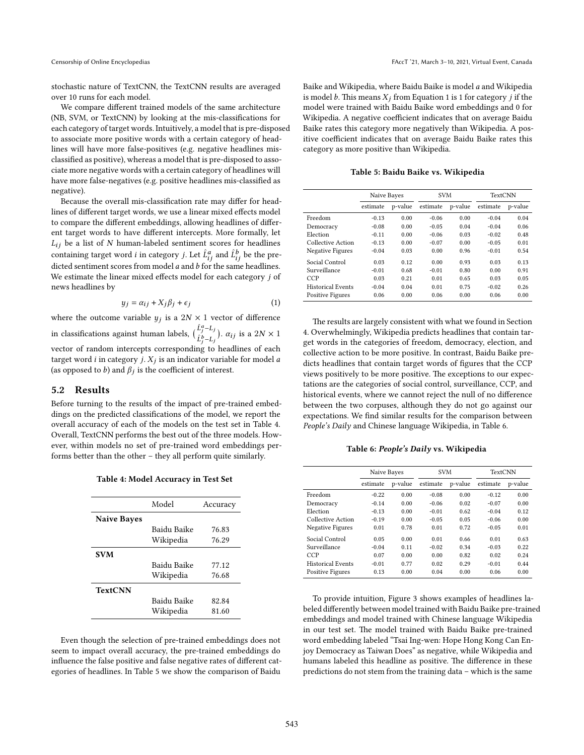stochastic nature of TextCNN, the TextCNN results are averaged over 10 runs for each model.

We compare different trained models of the same architecture (NB, SVM, or TextCNN) by looking at the mis-classifications for each category of target words. Intuitively, a model that is pre-disposed to associate more positive words with a certain category of headlines will have more false-positives (e.g. negative headlines misclassified as positive), whereas a model that is pre-disposed to associate more negative words with a certain category of headlines will have more false-negatives (e.g. positive headlines mis-classified as negative).

Because the overall mis-classification rate may differ for headlines of different target words, we use a linear mixed effects model to compare the different embeddings, allowing headlines of different target words to have different intercepts. More formally, let  $L_{ij}$  be a list of N human-labeled sentiment scores for headlines containing target word *i* in category *j*. Let  $\hat{L}^a_{ij}$  and  $\hat{L}^b_{ij}$  be the predicted sentiment scores from model  $a$  and  $b$  for the same headlines. We estimate the linear mixed effects model for each category  $j$  of news headlines by

<span id="page-6-2"></span>
$$
y_j = \alpha_{ij} + X_j \beta_j + \epsilon_j \tag{1}
$$

where the outcome variable  $y_j$  is a  $2N \times 1$  vector of difference in classifications against human labels,  $\left(\begin{matrix} \hat{L}^a_j - L_j \\ \hat{r}_b \end{matrix}\right)$  $\hat{L}_j^b$ – $L_j$ ).  $\alpha_{ij}$  is a  $2N \times 1$ vector of random intercepts corresponding to headlines of each target word *i* in category  $j$ .  $X_j$  is an indicator variable for model  $a$ (as opposed to  $b$ ) and  $\beta_j$  is the coefficient of interest.

#### **5.2 Results**

Before turning to the results of the impact of pre-trained embeddings on the predicted classifications of the model, we report the overall accuracy of each of the models on the test set in Table [4](#page-6-0). Overall, TextCNN performs the best out of the three models. However, within models no set of pre-trained word embeddings performs better than the other – they all perform quite similarly.

|  |  | Table 4: Model Accuracy in Test Set |  |  |  |
|--|--|-------------------------------------|--|--|--|
|--|--|-------------------------------------|--|--|--|

<span id="page-6-0"></span>

|                    | Model       | Accuracy |
|--------------------|-------------|----------|
| <b>Naive Bayes</b> |             |          |
|                    | Baidu Baike | 76.83    |
|                    | Wikipedia   | 76.29    |
| <b>SVM</b>         |             |          |
|                    | Baidu Baike | 77.12    |
|                    | Wikipedia   | 76.68    |
| <b>TextCNN</b>     |             |          |
|                    | Baidu Baike | 82.84    |
|                    | Wikipedia   | 81.60    |

Even though the selection of pre-trained embeddings does not seem to impact overall accuracy, the pre-trained embeddings do influence the false positive and false negative rates of different categories of headlines. In Table [5](#page-6-1) we show the comparison of Baidu

Baike and Wikipedia, where Baidu Baike is model  $a$  and Wikipedia is model b. This means  $X_i$  from Equation [1](#page-6-2) is 1 for category *j* if the model were trained with Baidu Baike word embeddings and 0 for Wikipedia. A negative coefficient indicates that on average Baidu Baike rates this category more negatively than Wikipedia. A positive coefficient indicates that on average Baidu Baike rates this category as more positive than Wikipedia.

**Table 5: Baidu Baike vs. Wikipedia**

<span id="page-6-1"></span>

|                          | Naive Bayes |         |          | <b>SVM</b> |          | <b>TextCNN</b> |  |
|--------------------------|-------------|---------|----------|------------|----------|----------------|--|
|                          | estimate    | p-value | estimate | p-value    | estimate | p-value        |  |
| Freedom                  | $-0.13$     | 0.00    | $-0.06$  | 0.00       | $-0.04$  | 0.04           |  |
| Democracy                | $-0.08$     | 0.00    | $-0.05$  | 0.04       | $-0.04$  | 0.06           |  |
| Election                 | $-0.11$     | 0.00    | $-0.06$  | 0.03       | $-0.02$  | 0.48           |  |
| Collective Action        | $-0.13$     | 0.00    | $-0.07$  | 0.00       | $-0.05$  | 0.01           |  |
| Negative Figures         | $-0.04$     | 0.03    | 0.00     | 0.96       | $-0.01$  | 0.54           |  |
| Social Control           | 0.03        | 0.12    | 0.00     | 0.93       | 0.03     | 0.13           |  |
| Surveillance             | $-0.01$     | 0.68    | $-0.01$  | 0.80       | 0.00     | 0.91           |  |
| <b>CCP</b>               | 0.03        | 0.21    | 0.01     | 0.65       | 0.03     | 0.05           |  |
| <b>Historical Events</b> | $-0.04$     | 0.04    | 0.01     | 0.75       | $-0.02$  | 0.26           |  |
| <b>Positive Figures</b>  | 0.06        | 0.00    | 0.06     | 0.00       | 0.06     | 0.00           |  |

The results are largely consistent with what we found in Section [4](#page-2-4). Overwhelmingly, Wikipedia predicts headlines that contain target words in the categories of freedom, democracy, election, and collective action to be more positive. In contrast, Baidu Baike predicts headlines that contain target words of figures that the CCP views positively to be more positive. The exceptions to our expectations are the categories of social control, surveillance, CCP, and historical events, where we cannot reject the null of no difference between the two corpuses, although they do not go against our expectations. We find similar results for the comparison between *People's Daily* and Chinese language Wikipedia, in Table [6](#page-6-3).

**Table 6:** *People's Daily* **vs. Wikipedia**

<span id="page-6-3"></span>

|                          | Naive Bayes |         |          | <b>SVM</b> |          | TextCNN |  |
|--------------------------|-------------|---------|----------|------------|----------|---------|--|
|                          | estimate    | p-value | estimate | p-value    | estimate | p-value |  |
| Freedom                  | $-0.22$     | 0.00    | $-0.08$  | 0.00       | $-0.12$  | 0.00    |  |
| Democracy                | $-0.14$     | 0.00    | $-0.06$  | 0.02       | $-0.07$  | 0.00    |  |
| Election                 | $-0.13$     | 0.00    | $-0.01$  | 0.62       | $-0.04$  | 0.12    |  |
| Collective Action        | $-0.19$     | 0.00    | $-0.05$  | 0.05       | $-0.06$  | 0.00    |  |
| Negative Figures         | 0.01        | 0.78    | 0.01     | 0.72       | $-0.05$  | 0.01    |  |
| Social Control           | 0.05        | 0.00    | 0.01     | 0.66       | 0.01     | 0.63    |  |
| Surveillance             | $-0.04$     | 0.11    | $-0.02$  | 0.34       | $-0.03$  | 0.22    |  |
| CCP                      | 0.07        | 0.00    | 0.00     | 0.82       | 0.02     | 0.24    |  |
| <b>Historical Events</b> | $-0.01$     | 0.77    | 0.02     | 0.29       | $-0.01$  | 0.44    |  |
| <b>Positive Figures</b>  | 0.13        | 0.00    | 0.04     | 0.00       | 0.06     | 0.00    |  |

To provide intuition, Figure [3](#page-7-16) shows examples of headlines labeled differently between model trained with Baidu Baike pre-trained embeddings and model trained with Chinese language Wikipedia in our test set. The model trained with Baidu Baike pre-trained word embedding labeled "Tsai Ing-wen: Hope Hong Kong Can Enjoy Democracy as Taiwan Does" as negative, while Wikipedia and humans labeled this headline as positive. The difference in these predictions do not stem from the training data – which is the same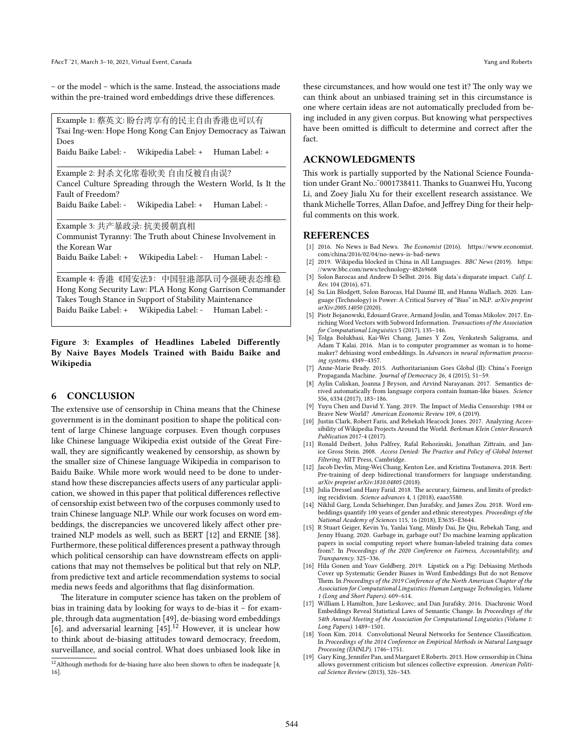– or the model – which is the same. Instead, the associations made within the pre-trained word embeddings drive these differences.

<span id="page-7-16"></span>Example 1: 蔡英文: 盼台湾享有的民主自由香港也可以有 Tsai Ing-wen: Hope Hong Kong Can Enjoy Democracy as Taiwan Does Baidu Baike Label: - Wikipedia Label: + Human Label: + Example 2: 封杀文化席卷欧美 自由反被自由误? Cancel Culture Spreading through the Western World, Is It the Fault of Freedom?

Baidu Baike Label: - Wikipedia Label: + Human Label: -

Example 3: 共产暴政录: 抗美援朝真相 Communist Tyranny: The Truth about Chinese Involvement in the Korean War

Baidu Baike Label: + Wikipedia Label: - Human Label: -

Example 4: 香港《国安法》:中国驻港部队司令强硬表态维稳 Hong Kong Security Law: PLA Hong Kong Garrison Commander Takes Tough Stance in Support of Stability Maintenance Baidu Baike Label: + Wikipedia Label: - Human Label: -

### **Figure 3: Examples of Headlines Labeled Differently By Naive Bayes Models Trained with Baidu Baike and Wikipedia**

## **6 CONCLUSION**

The extensive use of censorship in China means that the Chinese government is in the dominant position to shape the political content of large Chinese language corpuses. Even though corpuses like Chinese language Wikipedia exist outside of the Great Firewall, they are significantly weakened by censorship, as shown by the smaller size of Chinese language Wikipedia in comparison to Baidu Baike. While more work would need to be done to understand how these discrepancies affects users of any particular application, we showed in this paper that political differences reflective of censorship exist between two of the corpuses commonly used to train Chinese language NLP. While our work focuses on word embeddings, the discrepancies we uncovered likely affect other pretrained NLP models as well, such as BERT [\[12\]](#page-7-17) and ERNIE[[38\]](#page-8-22). Furthermore, these political differences present a pathway through which political censorship can have downstream effects on applications that may not themselves be political but that rely on NLP, from predictive text and article recommendation systems to social media news feeds and algorithms that flag disinformation.

The literature in computer science has taken on the problem of bias in training data by looking for ways to de-bias it – for example, through data augmentation[[49](#page-8-28)], de-biasing word embeddings [[6](#page-7-0)], and adversarial learning  $[45]$ .<sup>[12](#page-7-18)</sup> However, it is unclear how to think about de-biasing attitudes toward democracy, freedom, surveillance, and social control. What does unbiased look like in

these circumstances, and how would one test it? The only way we can think about an unbiased training set in this circumstance is one where certain ideas are not automatically precluded from being included in any given corpus. But knowing what perspectives have been omitted is difficult to determine and correct after the fact.

## **ACKNOWLEDGMENTS**

This work is partially supported by the National Science Foundation under Grant No.: ~ 0001738411. Thanks to Guanwei Hu, Yucong Li, and Zoey Jialu Xu for their excellent research assistance. We thank Michelle Torres, Allan Dafoe, and Jeffrey Ding for their helpful comments on this work.

#### **REFERENCES**

- <span id="page-7-12"></span>[1] 2016. No News is Bad News. *The Economist* (2016). [https://www.economist.](https://www.economist.com/china/2016/02/04/no-news-is-bad-news) [com/china/2016/02/04/no-news-is-bad-news](https://www.economist.com/china/2016/02/04/no-news-is-bad-news)
- <span id="page-7-10"></span>[2] 2019. Wikipedia blocked in China in All Languages. *BBC News* (2019). [https:](https://www.bbc.com/news/technology-48269608) [//www.bbc.com/news/technology-48269608](https://www.bbc.com/news/technology-48269608)
- <span id="page-7-5"></span>[3] Solon Barocas and Andrew D Selbst. 2016. Big data's disparate impact. *Calif. L. Rev.* 104 (2016), 671.
- <span id="page-7-19"></span>[4] Su Lin Blodgett, Solon Barocas, Hal Daumé III, and Hanna Wallach. 2020. Language (Technology) is Power: A Critical Survey of "Bias" in NLP. *arXiv preprint arXiv:2005.14050* (2020).
- <span id="page-7-3"></span>[5] Piotr Bojanowski, Edouard Grave, Armand Joulin, and Tomas Mikolov. 2017. Enriching Word Vectors with Subword Information. *Transactions of the Association for Computational Linguistics* 5 (2017), 135–146.
- <span id="page-7-0"></span>[6] Tolga Bolukbasi, Kai-Wei Chang, James Y Zou, Venkatesh Saligrama, and Adam T Kalai. 2016. Man is to computer programmer as woman is to homemaker? debiasing word embeddings. In *Advances in neural information processing systems*. 4349–4357.
- <span id="page-7-13"></span>[7] Anne-Marie Brady. 2015. Authoritarianism Goes Global (II): China's Foreign Propaganda Machine. *Journal of Democracy* 26, 4 (2015), 51–59.
- <span id="page-7-1"></span>[8] Aylin Caliskan, Joanna J Bryson, and Arvind Narayanan. 2017. Semantics derived automatically from language corpora contain human-like biases. *Science* 356, 6334 (2017), 183–186.
- <span id="page-7-11"></span>[9] Yuyu Chen and David Y. Yang. 2019. The Impact of Media Censorship: 1984 or Brave New World? *American Economic Review* 109, 6 (2019).
- <span id="page-7-9"></span>[10] Justin Clark, Robert Faris, and Rebekah Heacock Jones. 2017. Analyzing Accessibility of Wikipedia Projects Around the World. *Berkman Klein Center Research Publication* 2017-4 (2017).
- <span id="page-7-7"></span>[11] Ronald Deibert, John Palfrey, Rafal Rohozinski, Jonathan Zittrain, and Janice Gross Stein. 2008. *Access Denied: The Practice and Policy of Global Internet Filtering*. MIT Press, Cambridge.
- <span id="page-7-17"></span>[12] Jacob Devlin, Ming-Wei Chang, Kenton Lee, and Kristina Toutanova. 2018. Bert: Pre-training of deep bidirectional transformers for language understanding. *arXiv preprint arXiv:1810.04805* (2018).
- <span id="page-7-2"></span>[13] Julia Dressel and Hany Farid. 2018. The accuracy, fairness, and limits of predicting recidivism. *Science advances* 4, 1 (2018), eaao5580.
- <span id="page-7-4"></span>[14] Nikhil Garg, Londa Schiebinger, Dan Jurafsky, and James Zou. 2018. Word embeddings quantify 100 years of gender and ethnic stereotypes. *Proceedings of the National Academy of Sciences* 115, 16 (2018), E3635–E3644.
- <span id="page-7-6"></span>[15] R Stuart Geiger, Kevin Yu, Yanlai Yang, Mindy Dai, Jie Qiu, Rebekah Tang, and Jenny Huang. 2020. Garbage in, garbage out? Do machine learning application papers in social computing report where human-labeled training data comes from?. In *Proceedings of the 2020 Conference on Fairness, Accountability, and Transparency*. 325–336.
- <span id="page-7-20"></span>[16] Hila Gonen and Yoav Goldberg. 2019. Lipstick on a Pig: Debiasing Methods Cover up Systematic Gender Biases in Word Embeddings But do not Remove Them. In *Proceedings of the 2019 Conference of the North American Chapter of the Association for Computational Linguistics: Human Language Technologies, Volume 1 (Long and Short Papers)*. 609–614.
- <span id="page-7-14"></span>[17] William L Hamilton, Jure Leskovec, and Dan Jurafsky. 2016. Diachronic Word Embeddings Reveal Statistical Laws of Semantic Change. In *Proceedings of the 54th Annual Meeting of the Association for Computational Linguistics (Volume 1: Long Papers)*. 1489–1501.
- <span id="page-7-15"></span>[18] Yoon Kim. 2014. Convolutional Neural Networks for Sentence Classification. In *Proceedings of the 2014 Conference on Empirical Methods in Natural Language Processing (EMNLP)*. 1746–1751.
- <span id="page-7-8"></span>[19] Gary King, Jennifer Pan, and Margaret E Roberts. 2013. How censorship in China allows government criticism but silences collective expression. *American Political Science Review* (2013), 326–343.

<span id="page-7-18"></span> $^{12}\rm{Although}$  methods for de-biasing have also been shown to often be inadequate [\[4,](#page-7-19) [16](#page-7-20)].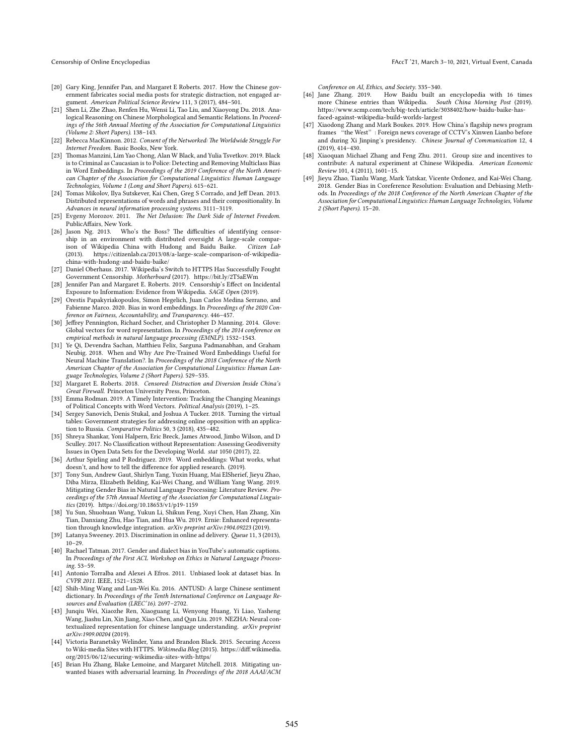- <span id="page-8-11"></span>[20] Gary King, Jennifer Pan, and Margaret E Roberts. 2017. How the Chinese government fabricates social media posts for strategic distraction, not engaged argument. *American Political Science Review* 111, 3 (2017), 484–501.
- <span id="page-8-24"></span>[21] Shen Li, Zhe Zhao, Renfen Hu, Wensi Li, Tao Liu, and Xiaoyong Du. 2018. Analogical Reasoning on Chinese Morphological and Semantic Relations. In *Proceedings of the 56th Annual Meeting of the Association for Computational Linguistics (Volume 2: Short Papers)*. 138–143.
- <span id="page-8-12"></span>[22] Rebecca MacKinnon. 2012. *Consent of the Networked: The Worldwide Struggle For Internet Freedom*. Basic Books, New York.
- <span id="page-8-6"></span>[23] Thomas Manzini, Lim Yao Chong, Alan W Black, and Yulia Tsvetkov. 2019. Black is to Criminal as Caucasian is to Police: Detecting and Removing Multiclass Bias in Word Embeddings. In *Proceedings of the 2019 Conference of the North American Chapter of the Association for Computational Linguistics: Human Language Technologies, Volume 1 (Long and Short Papers)*. 615–621.
- <span id="page-8-2"></span>[24] Tomas Mikolov, Ilya Sutskever, Kai Chen, Greg S Corrado, and Jeff Dean. 2013. Distributed representations of words and phrases and their compositionality. In *Advances in neural information processing systems*. 3111–3119.
- <span id="page-8-13"></span>[25] Evgeny Morozov. 2011. *The Net Delusion: The Dark Side of Internet Freedom*. PublicAffairs, New York.
- <span id="page-8-21"></span>[26] Jason Ng. 2013. Who's the Boss? The difficulties of identifying censorship in an environment with distributed oversight A large-scale compar-<br>ison of Wikipedia China with Hudong and Baidu Baike. Citizen Lab ison of Wikipedia China with Hudong and Baidu Baike. (2013). [https://citizenlab.ca/2013/08/a-large-scale-comparison-of-wikipedia](https://citizenlab.ca/2013/08/a-large-scale-comparison-of-wikipedia-china-with-hudong-and-baidu-baike/)[china-with-hudong-and-baidu-baike/](https://citizenlab.ca/2013/08/a-large-scale-comparison-of-wikipedia-china-with-hudong-and-baidu-baike/)
- <span id="page-8-16"></span>[27] Daniel Oberhaus. 2017. Wikipedia's Switch to HTTPS Has Successfully Fought Government Censorship. *Motherboard* (2017). <https://bit.ly/2T5aEWm>
- <span id="page-8-18"></span>[28] Jennifer Pan and Margaret E. Roberts. 2019. Censorship's Effect on Incidental Exposure to Information: Evidence from Wikipedia. *SAGE Open* (2019).
- <span id="page-8-7"></span>[29] Orestis Papakyriakopoulos, Simon Hegelich, Juan Carlos Medina Serrano, and Fabienne Marco. 2020. Bias in word embeddings. In *Proceedings of the 2020 Conference on Fairness, Accountability, and Transparency*. 446–457.
- <span id="page-8-1"></span>[30] Jeffrey Pennington, Richard Socher, and Christopher D Manning. 2014. Glove: Global vectors for word representation. In *Proceedings of the 2014 conference on*
- <span id="page-8-3"></span>*empirical methods in natural language processing (EMNLP)*. 1532–1543. [31] Ye Qi, Devendra Sachan, Matthieu Felix, Sarguna Padmanabhan, and Graham Neubig. 2018. When and Why Are Pre-Trained Word Embeddings Useful for Neural Machine Translation?. In *Proceedings of the 2018 Conference of the North American Chapter of the Association for Computational Linguistics: Human Language Technologies, Volume 2 (Short Papers)*. 529–535.
- <span id="page-8-14"></span>[32] Margaret E. Roberts. 2018. *Censored: Distraction and Diversion Inside China's Great Firewall*. Princeton University Press, Princeton.
- <span id="page-8-25"></span>[33] Emma Rodman. 2019. A Timely Intervention: Tracking the Changing Meanings of Political Concepts with Word Vectors. *Political Analysis* (2019), 1–25.
- <span id="page-8-15"></span>[34] Sergey Sanovich, Denis Stukal, and Joshua A Tucker. 2018. Turning the virtual tables: Government strategies for addressing online opposition with an application to Russia. *Comparative Politics* 50, 3 (2018), 435–482.
- <span id="page-8-10"></span>[35] Shreya Shankar, Yoni Halpern, Eric Breck, James Atwood, Jimbo Wilson, and D Sculley. 2017. No Classification without Representation: Assessing Geodiversity Issues in Open Data Sets for the Developing World. *stat* 1050 (2017), 22.
- <span id="page-8-4"></span>[36] Arthur Spirling and P Rodriguez. 2019. Word embeddings: What works, what doesn't, and how to tell the difference for applied research. (2019).
- <span id="page-8-5"></span>[37] Tony Sun, Andrew Gaut, Shirlyn Tang, Yuxin Huang, Mai ElSherief, Jieyu Zhao, Diba Mirza, Elizabeth Belding, Kai-Wei Chang, and William Yang Wang. 2019. Mitigating Gender Bias in Natural Language Processing: Literature Review. *Proceedings of the 57th Annual Meeting of the Association for Computational Linguistics* (2019). <https://doi.org/10.18653/v1/p19-1159>
- <span id="page-8-22"></span>[38] Yu Sun, Shuohuan Wang, Yukun Li, Shikun Feng, Xuyi Chen, Han Zhang, Xin Tian, Danxiang Zhu, Hao Tian, and Hua Wu. 2019. Ernie: Enhanced representation through knowledge integration. *arXiv preprint arXiv:1904.09223* (2019).
- <span id="page-8-0"></span>[39] Latanya Sweeney. 2013. Discrimination in online ad delivery. *Queue* 11, 3 (2013), 10–29.
- <span id="page-8-8"></span>[40] Rachael Tatman. 2017. Gender and dialect bias in YouTube's automatic captions. In *Proceedings of the First ACL Workshop on Ethics in Natural Language Processing*. 53–59.
- <span id="page-8-9"></span>[41] Antonio Torralba and Alexei A Efros. 2011. Unbiased look at dataset bias. In *CVPR 2011*. IEEE, 1521–1528.
- <span id="page-8-27"></span>[42] Shih-Ming Wang and Lun-Wei Ku. 2016. ANTUSD: A large Chinese sentiment dictionary. In *Proceedings of the Tenth International Conference on Language Resources and Evaluation (LREC'16)*. 2697–2702.
- <span id="page-8-23"></span>[43] Junqiu Wei, Xiaozhe Ren, Xiaoguang Li, Wenyong Huang, Yi Liao, Yasheng Wang, Jiashu Lin, Xin Jiang, Xiao Chen, and Qun Liu. 2019. NEZHA: Neural contextualized representation for chinese language understanding. *arXiv preprint arXiv:1909.00204* (2019).
- <span id="page-8-17"></span>[44] Victoria Baranetsky Welinder, Yana and Brandon Black. 2015. Securing Access to Wiki-media Sites with HTTPS. *Wikimedia Blog* (2015). [https://diff.wikimedia.](https://diff.wikimedia.org/2015/06/12/securing-wikimedia-sites-with-https/) [org/2015/06/12/securing-wikimedia-sites-with-https/](https://diff.wikimedia.org/2015/06/12/securing-wikimedia-sites-with-https/)
- <span id="page-8-29"></span>[45] Brian Hu Zhang, Blake Lemoine, and Margaret Mitchell. 2018. Mitigating unwanted biases with adversarial learning. In *Proceedings of the 2018 AAAI/ACM*

*Conference on AI, Ethics, and Society*. 335–340.

- <span id="page-8-20"></span>[46] Jane Zhang. 2019. How Baidu built an encyclopedia with 16 times more Chinese entries than Wikipedia. *South China Morning Post* (2019). [https://www.scmp.com/tech/big-tech/article/3038402/how-baidu-baike-has](https://www.scmp.com/tech/big-tech/article/3038402/how-baidu-baike-has-faced-against-wikipedia-build-worlds-largest)[faced-against-wikipedia-build-worlds-largest](https://www.scmp.com/tech/big-tech/article/3038402/how-baidu-baike-has-faced-against-wikipedia-build-worlds-largest)
- <span id="page-8-26"></span>[47] Xiaodong Zhang and Mark Boukes. 2019. How China's flagship news program frames "the West": Foreign news coverage of CCTV's Xinwen Lianbo before and during Xi Jinping's presidency. *Chinese Journal of Communication* 12, 4 (2019), 414–430.
- <span id="page-8-19"></span>[48] Xiaoquan Michael Zhang and Feng Zhu. 2011. Group size and incentives to contribute: A natural experiment at Chinese Wikipedia. *American Economic Review* 101, 4 (2011), 1601–15.
- <span id="page-8-28"></span>[49] Jieyu Zhao, Tianlu Wang, Mark Yatskar, Vicente Ordonez, and Kai-Wei Chang. 2018. Gender Bias in Coreference Resolution: Evaluation and Debiasing Methods. In *Proceedings of the 2018 Conference of the North American Chapter of the Association for Computational Linguistics: Human Language Technologies, Volume 2 (Short Papers)*. 15–20.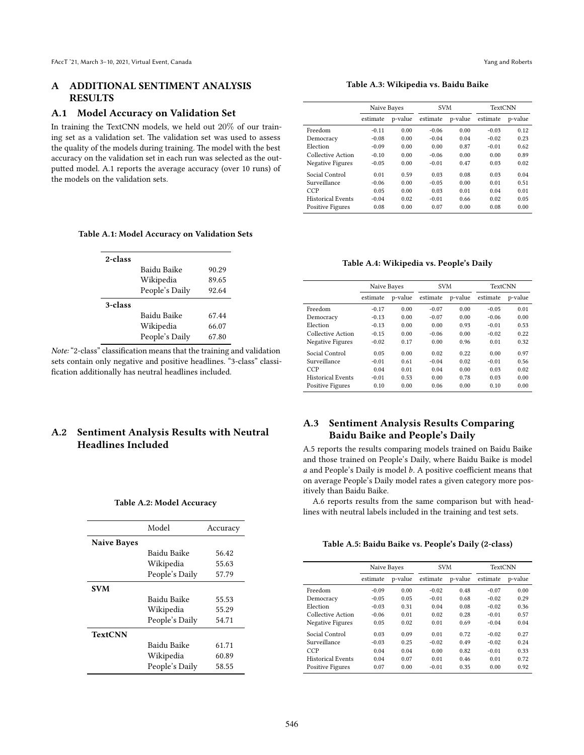## **A ADDITIONAL SENTIMENT ANALYSIS RESULTS**

#### **A.1 Model Accuracy on Validation Set**

In training the TextCNN models, we held out 20% of our training set as a validation set. The validation set was used to assess the quality of the models during training. The model with the best accuracy on the validation set in each run was selected as the outputted model. [A.1](#page-9-0) reports the average accuracy (over 10 runs) of the models on the validation sets.

## **Table A.3: Wikipedia vs. Baidu Baike**

|                          | Naive Bayes |         |          | <b>SVM</b> |          | <b>TextCNN</b> |  |
|--------------------------|-------------|---------|----------|------------|----------|----------------|--|
|                          | estimate    | p-value | estimate | p-value    | estimate | p-value        |  |
| Freedom                  | $-0.11$     | 0.00    | $-0.06$  | 0.00       | $-0.03$  | 0.12           |  |
| Democracy                | $-0.08$     | 0.00    | $-0.04$  | 0.04       | $-0.02$  | 0.23           |  |
| Election                 | $-0.09$     | 0.00    | 0.00     | 0.87       | $-0.01$  | 0.62           |  |
| Collective Action        | $-0.10$     | 0.00    | $-0.06$  | 0.00       | 0.00     | 0.89           |  |
| Negative Figures         | $-0.05$     | 0.00    | $-0.01$  | 0.47       | 0.03     | 0.02           |  |
| Social Control           | 0.01        | 0.59    | 0.03     | 0.08       | 0.03     | 0.04           |  |
| Surveillance             | $-0.06$     | 0.00    | $-0.05$  | 0.00       | 0.01     | 0.51           |  |
| CCP                      | 0.05        | 0.00    | 0.03     | 0.01       | 0.04     | 0.01           |  |
| <b>Historical Events</b> | $-0.04$     | 0.02    | $-0.01$  | 0.66       | 0.02     | 0.05           |  |
| <b>Positive Figures</b>  | 0.08        | 0.00    | 0.07     | 0.00       | 0.08     | 0.00           |  |

#### <span id="page-9-0"></span>**Table A.1: Model Accuracy on Validation Sets**

| 2-class |                |       |
|---------|----------------|-------|
|         | Baidu Baike    | 90.29 |
|         | Wikipedia      | 89.65 |
|         | People's Daily | 92.64 |
| 3-class |                |       |
|         | Baidu Baike    | 67.44 |
|         | Wikipedia      | 66.07 |
|         | People's Daily | 67.80 |

*Note:* "2-class" classification means that the training and validation sets contain only negative and positive headlines. "3-class" classification additionally has neutral headlines included.

# **A.2 Sentiment Analysis Results with Neutral Headlines Included**

#### **Table A.2: Model Accuracy**

|                    | Model          | Accuracy |
|--------------------|----------------|----------|
| <b>Naive Bayes</b> |                |          |
|                    | Baidu Baike    | 56.42    |
|                    | Wikipedia      | 55.63    |
|                    | People's Daily | 57.79    |
| <b>SVM</b>         |                |          |
|                    | Baidu Baike    | 55.53    |
|                    | Wikipedia      | 55.29    |
|                    | People's Daily | 54.71    |
| <b>TextCNN</b>     |                |          |
|                    | Baidu Baike    | 61.71    |
|                    | Wikipedia      | 60.89    |
|                    | People's Daily | 58.55    |

#### **Table A.4: Wikipedia vs. People's Daily**

|                          | Naive Bayes |         |          | <b>SVM</b> |          | <b>TextCNN</b> |
|--------------------------|-------------|---------|----------|------------|----------|----------------|
|                          | estimate    | p-value | estimate | p-value    | estimate | p-value        |
| Freedom                  | $-0.17$     | 0.00    | $-0.07$  | 0.00       | $-0.05$  | 0.01           |
| Democracy                | $-0.13$     | 0.00    | $-0.07$  | 0.00       | $-0.06$  | 0.00           |
| Election                 | $-0.13$     | 0.00    | 0.00     | 0.93       | $-0.01$  | 0.53           |
| Collective Action        | $-0.15$     | 0.00    | $-0.06$  | 0.00       | $-0.02$  | 0.22           |
| Negative Figures         | $-0.02$     | 0.17    | 0.00     | 0.96       | 0.01     | 0.32           |
| Social Control           | 0.05        | 0.00    | 0.02     | 0.22       | 0.00     | 0.97           |
| Surveillance             | $-0.01$     | 0.61    | $-0.04$  | 0.02       | $-0.01$  | 0.56           |
| <b>CCP</b>               | 0.04        | 0.01    | 0.04     | 0.00       | 0.03     | 0.02           |
| <b>Historical Events</b> | $-0.01$     | 0.53    | 0.00     | 0.78       | 0.03     | 0.00           |
| <b>Positive Figures</b>  | 0.10        | 0.00    | 0.06     | 0.00       | 0.10     | 0.00           |
|                          |             |         |          |            |          |                |

## **A.3 Sentiment Analysis Results Comparing Baidu Baike and People's Daily**

[A.5](#page-9-1) reports the results comparing models trained on Baidu Baike and those trained on People's Daily, where Baidu Baike is model  $a$  and People's Daily is model  $b$ . A positive coefficient means that on average People's Daily model rates a given category more positively than Baidu Baike.

[A.6](#page-10-0) reports results from the same comparison but with headlines with neutral labels included in the training and test sets.

<span id="page-9-1"></span>

| Table A.5: Baidu Baike vs. People's Daily (2-class) |  |  |
|-----------------------------------------------------|--|--|
|-----------------------------------------------------|--|--|

|                          | Naive Bayes |         | <b>SVM</b> |         | <b>TextCNN</b> |         |
|--------------------------|-------------|---------|------------|---------|----------------|---------|
|                          | estimate    | p-value | estimate   | p-value | estimate       | p-value |
| Freedom                  | $-0.09$     | 0.00    | $-0.02$    | 0.48    | $-0.07$        | 0.00    |
| Democracy                | $-0.05$     | 0.05    | $-0.01$    | 0.68    | $-0.02$        | 0.29    |
| Election                 | $-0.03$     | 0.31    | 0.04       | 0.08    | $-0.02$        | 0.36    |
| Collective Action        | $-0.06$     | 0.01    | 0.02       | 0.28    | $-0.01$        | 0.57    |
| Negative Figures         | 0.05        | 0.02    | 0.01       | 0.69    | $-0.04$        | 0.04    |
| Social Control           | 0.03        | 0.09    | 0.01       | 0.72    | $-0.02$        | 0.27    |
| Surveillance             | $-0.03$     | 0.25    | $-0.02$    | 0.49    | $-0.02$        | 0.24    |
| CCP                      | 0.04        | 0.04    | 0.00       | 0.82    | $-0.01$        | 0.33    |
| <b>Historical Events</b> | 0.04        | 0.07    | 0.01       | 0.46    | 0.01           | 0.72    |
| Positive Figures         | 0.07        | 0.00    | $-0.01$    | 0.35    | 0.00           | 0.92    |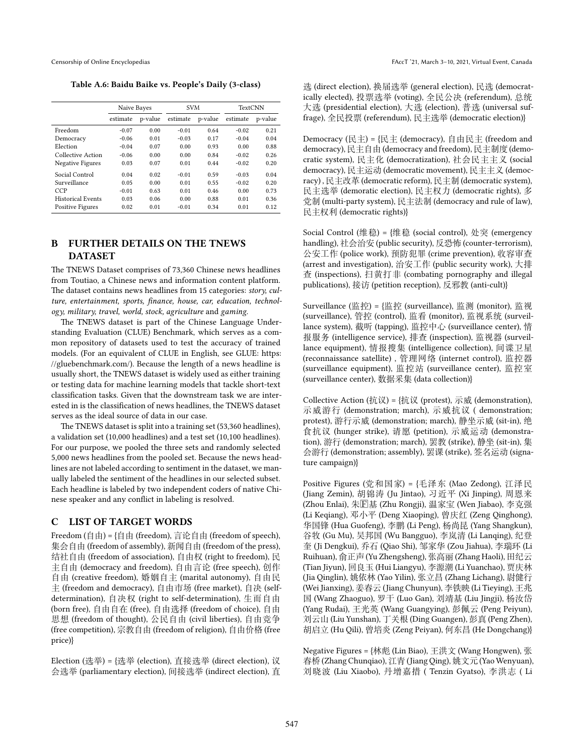<span id="page-10-0"></span>**Table A.6: Baidu Baike vs. People's Daily (3-class)**

|                          | Naive Bayes |         | <b>SVM</b> |         | <b>TextCNN</b> |         |
|--------------------------|-------------|---------|------------|---------|----------------|---------|
|                          | estimate    | p-value | estimate   | p-value | estimate       | p-value |
| Freedom                  | $-0.07$     | 0.00    | $-0.01$    | 0.64    | $-0.02$        | 0.21    |
| Democracy                | $-0.06$     | 0.01    | $-0.03$    | 0.17    | $-0.04$        | 0.04    |
| Election                 | $-0.04$     | 0.07    | 0.00       | 0.93    | 0.00           | 0.88    |
| Collective Action        | $-0.06$     | 0.00    | 0.00       | 0.84    | $-0.02$        | 0.26    |
| Negative Figures         | 0.03        | 0.07    | 0.01       | 0.44    | $-0.02$        | 0.20    |
| Social Control           | 0.04        | 0.02    | $-0.01$    | 0.59    | $-0.03$        | 0.04    |
| Surveillance             | 0.05        | 0.00    | 0.01       | 0.55    | $-0.02$        | 0.20    |
| <b>CCP</b>               | $-0.01$     | 0.63    | 0.01       | 0.46    | 0.00           | 0.73    |
| <b>Historical Events</b> | 0.03        | 0.06    | 0.00       | 0.88    | 0.01           | 0.36    |
| <b>Positive Figures</b>  | 0.02        | 0.01    | $-0.01$    | 0.34    | 0.01           | 0.12    |

## **B FURTHER DETAILS ON THE TNEWS DATASET**

The TNEWS Dataset comprises of 73,360 Chinese news headlines from Toutiao, a Chinese news and information content platform. The dataset contains news headlines from 15 categories: *story, culture, entertainment, sports, finance, house, car, education, technology, military, travel, world, stock, agriculture* and *gaming*.

The TNEWS dataset is part of the Chinese Language Understanding Evaluation (CLUE) Benchmark, which serves as a common repository of datasets used to test the accuracy of trained models. (For an equivalent of CLUE in English, see GLUE: [https:](https://gluebenchmark.com/) [//gluebenchmark.com/](https://gluebenchmark.com/)). Because the length of a news headline is usually short, the TNEWS dataset is widely used as either training or testing data for machine learning models that tackle short-text classification tasks. Given that the downstream task we are interested in is the classification of news headlines, the TNEWS dataset serves as the ideal source of data in our case.

The TNEWS dataset is split into a training set (53,360 headlines), a validation set (10,000 headlines) and a test set (10,100 headlines). For our purpose, we pooled the three sets and randomly selected 5,000 news headlines from the pooled set. Because the news headlines are not labeled according to sentiment in the dataset, we manually labeled the sentiment of the headlines in our selected subset. Each headline is labeled by two independent coders of native Chinese speaker and any conflict in labeling is resolved.

## **C LIST OF TARGET WORDS**

Freedom (自由) = {自由 (freedom), 言论自由 (freedom of speech), 集会自由 (freedom of assembly), 新闻自由 (freedom of the press), 结社自由 (freedom of association), 自由权 (right to freedom), 民 主自由 (democracy and freedom), 自由言论 (free speech), 创作 自由 (creative freedom), 婚姻自主 (marital autonomy), 自由民 主 (freedom and democracy), 自由市场 (free market), 自决 (selfdetermination), 自决权 (right to self-determination), 生而自由 (born free), 自由自在 (free), 自由选择 (freedom of choice), 自由 思想 (freedom of thought), 公民自由 (civil liberties), 自由竞争 (free competition), 宗教自由 (freedom of religion), 自由价格 (free price)}

Election (选举) = {选举 (election), 直接选举 (direct election), 议 会选举 (parliamentary election), 间接选举 (indirect election), 直

选 (direct election), 换届选举 (general election), 民选 (democratically elected), 投票选举 (voting), 全民公决 (referendum), 总统 大选 (presidential election), 大选 (election), 普选 (universal suffrage), 全民投票 (referendum), 民主选举 (democratic election)}

Democracy (民主) = {民主 (democracy), 自由民主 (freedom and democracy),民主自由 (democracy and freedom), 民主制度 (democratic system), 民主化 (democratization), 社会民主主义 (social democracy), 民主运动 (democratic movement), 民主主义 (democracy) , 民主改革 (democratic reform), 民主制 (democratic system), 民主选举 (demoratic election), 民主权力 (democratic rights), 多 党制 (multi-party system), 民主法制 (democracy and rule of law), 民主权利 (democratic rights)}

Social Control (维稳) = {维稳 (social control), 处突 (emergency handling), 社会治安 (public security), 反恐怖 (counter-terrorism), 公安工作 (police work), 预防犯罪 (crime prevention), 收容审查 (arrest and investigation), 治安工作 (public security work), 大排 查 (inspections), 扫黄打非 (combating pornography and illegal publications), 接访 (petition reception), 反邪教 (anti-cult)}

Surveillance (监控) = {监控 (surveillance), 监测 (monitor), 监视 (surveillance), 管控 (control), 监看 (monitor), 监视系统 (surveillance system), 截听 (tapping), 监控中心 (surveillance center), 情 报服务 (intelligence service), 排查 (inspection), 监视器 (surveillance equipment), 情报搜集 (intelligence collection), 间谍卫星 (reconnaissance satellite) , 管理网络 (internet control), 监控器 (surveillance equipment), 监控站 (surveillance center), 监控室 (surveillance center), 数据采集 (data collection)}

Collective Action (抗议) = {抗议 (protest), 示威 (demonstration), 示威游行 (demonstration; march), 示威抗议 ( demonstration; protest), 游行示威 (demonstration; march), 静坐示威 (sit-in), 绝 食抗议 (hunger strike), 请愿 (petition), 示威运动 (demonstration), 游行 (demonstration; march), 罢教 (strike), 静坐 (sit-in), 集 会游行 (demonstration; assembly), 罢课 (strike), 签名运动 (signature campaign)}

Positive Figures (党和国家) = {毛泽东 (Mao Zedong), 江泽民 (Jiang Zemin), 胡锦涛 (Ju Jintao), 习近平 (Xi Jinping), 周恩来 (Zhou Enlai), 朱�基 (Zhu Rongji), 温家宝 (Wen Jiabao), 李克强 (Li Keqiang), 邓小平 (Deng Xiaoping), 曾庆红 (Zeng Qinghong), 华国锋 (Hua Guofeng), 李鹏 (Li Peng), 杨尚昆 (Yang Shangkun), 谷牧 (Gu Mu), 吴邦国 (Wu Bangguo), 李岚清 (Li Lanqing), 纪登 奎 (Ji Dengkui), 乔石 (Qiao Shi), 邹家华 (Zou Jiahua), 李瑞环 (Li Ruihuan), 俞正声 (Yu Zhengsheng), 张高丽 (Zhang Haoli), 田纪云 (Tian Jiyun), 回良玉 (Hui Liangyu), 李源潮 (Li Yuanchao), 贾庆林 (Jia Qinglin), 姚依林 (Yao Yilin), 张立昌 (Zhang Lichang), 尉健行 (Wei Jianxing), 姜春云 (Jiang Chunyun), 李铁映 (Li Tieying), 王兆 国 (Wang Zhaoguo), 罗干 (Luo Gan), 刘靖基 (Liu Jingji), 杨汝岱 (Yang Rudai), 王光英 (Wang Guangying), 彭佩云 (Peng Peiyun), 刘云山 (Liu Yunshan), 丁关根 (Ding Guangen), 彭真 (Peng Zhen), 胡启立 (Hu Qili), 曾培炎 (Zeng Peiyan), 何东昌 (He Dongchang)}

Negative Figures = {林彪 (Lin Biao), 王洪文 (Wang Hongwen), 张 春桥(Zhang Chunqiao), 江青 (Jiang Qing), 姚文元 (Yao Wenyuan), 刘晓波 (Liu Xiaobo), 丹增嘉措 ( Tenzin Gyatso), 李洪志 ( Li